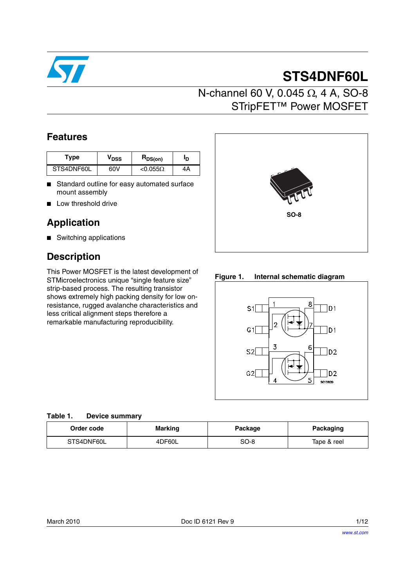

# **STS4DNF60L**

## N-channel 60 V, 0.045 Ω, 4 A, SO-8 STripFET™ Power MOSFET

## **Features**

| Type       | VDSS | $R_{DS(on)}$    | סי |
|------------|------|-----------------|----|
| STS4DNF60L | 60V  | $< 0.055\Omega$ | 4Α |

- Standard outline for easy automated surface mount assembly
- Low threshold drive

## **Application**

■ Switching applications

## **Description**

This Power MOSFET is the latest development of STMicroelectronics unique "single feature size" strip-based process. The resulting transistor shows extremely high packing density for low onresistance, rugged avalanche characteristics and less critical alignment steps therefore a remarkable manufacturing reproducibility.



**Figure 1. Internal schematic diagram**



#### **Table 1. Device summary**

| Order code | <b>Marking</b> |  | Packaging   |  |
|------------|----------------|--|-------------|--|
| STS4DNF60L | 4DF60L         |  | Tape & reel |  |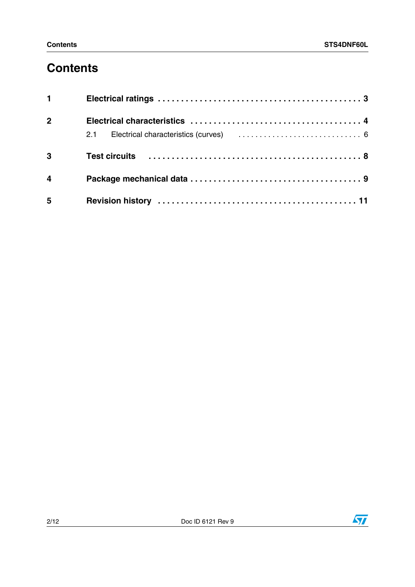## **Contents**

| $1 \quad \blacksquare$  |  |
|-------------------------|--|
| 2 <sup>1</sup>          |  |
|                         |  |
| 3                       |  |
| $\overline{\mathbf{4}}$ |  |
| 5                       |  |

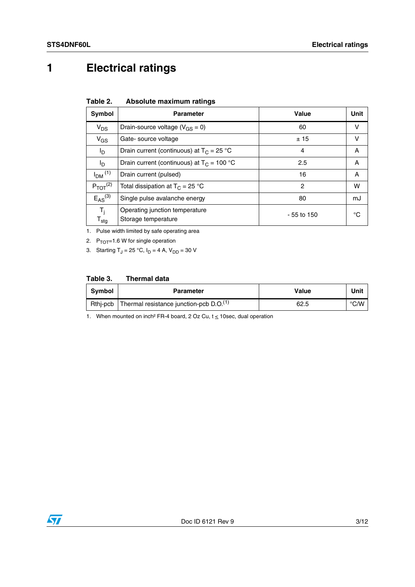## <span id="page-2-0"></span>**1 Electrical ratings**

<span id="page-2-1"></span>

| Absolute maximum ratings<br>Table 2. |
|--------------------------------------|
|--------------------------------------|

| <b>Symbol</b>                         | <b>Parameter</b>                                      | Value          | Unit |
|---------------------------------------|-------------------------------------------------------|----------------|------|
| $V_{DS}$                              | Drain-source voltage ( $V_{GS} = 0$ )                 | 60             | v    |
| $V_{GS}$                              | Gate-source voltage                                   | ±15            | v    |
| I <sub>D</sub>                        | Drain current (continuous) at $T_C = 25 °C$           | 4              | A    |
| l <sub>D</sub>                        | Drain current (continuous) at $T_C = 100 °C$          | 2.5            | A    |
| $IDM$ <sup>(1)</sup>                  | Drain current (pulsed)                                | 16             | A    |
| $P_{TOT}$ $(2)$                       | Total dissipation at $T_C = 25 °C$                    | $\overline{c}$ | w    |
| $E_{AS}^{(3)}$                        | Single pulse avalanche energy                         | 80             | mJ   |
| $T_i$<br>${\mathsf T}_{\textsf{stg}}$ | Operating junction temperature<br>Storage temperature | $-55$ to 150   | °C   |

1. Pulse width limited by safe operating area

2.  $P_{TOT}$ =1.6 W for single operation

3. Starting  $T_J = 25 °C$ ,  $I_D = 4 A$ ,  $V_{DD} = 30 V$ 

#### **Table 3. Thermal data**

| Symbol | <b>Parameter</b>                                     | Value | Unit |
|--------|------------------------------------------------------|-------|------|
|        | Rthj-pcb   Thermal resistance junction-pcb $D.O.(1)$ | 62.5  | °C/W |

1. When mounted on inch<sup>2</sup> FR-4 board, 2 Oz Cu,  $t \le 10$ sec, dual operation

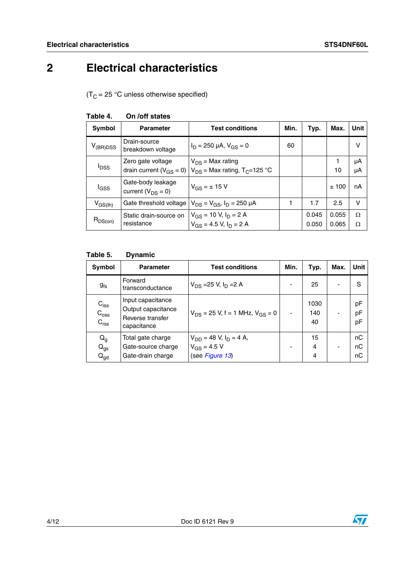# <span id="page-3-0"></span>**2 Electrical characteristics**

 $(T_C = 25 \text{ °C}$  unless otherwise specified)

| <b>Parameter</b>                              | <b>Test conditions</b>           | Min.                                                                                                                                                                                                                     | Typ.  | Max.  | <b>Unit</b>   |
|-----------------------------------------------|----------------------------------|--------------------------------------------------------------------------------------------------------------------------------------------------------------------------------------------------------------------------|-------|-------|---------------|
| Drain-source<br>breakdown voltage             | $I_D = 250 \mu A$ , $V_{GS} = 0$ | 60                                                                                                                                                                                                                       |       |       | v             |
| Zero gate voltage                             | $V_{DS}$ = Max rating            |                                                                                                                                                                                                                          |       |       | μA            |
|                                               |                                  |                                                                                                                                                                                                                          |       | 10    | μA            |
| Gate-body leakage<br>current ( $V_{DS} = 0$ ) | $V_{GS} = \pm 15$ V              |                                                                                                                                                                                                                          |       | ±100  | nA            |
|                                               |                                  |                                                                                                                                                                                                                          | 1.7   | 2.5   | v             |
| Static drain-source on<br>resistance          |                                  |                                                                                                                                                                                                                          | 0.045 | 0.055 | $\Omega$<br>Ω |
|                                               |                                  | drain current ( $V_{GS}$ = 0)   $V_{DS}$ = Max rating, T <sub>C</sub> =125 °C<br>Gate threshold voltage $ V_{DS} = V_{GS}$ , $I_D = 250 \mu A$<br>$V_{GS}$ = 10 V, I <sub>D</sub> = 2 A<br>$V_{GS}$ = 4.5 V, $I_D$ = 2 A |       | 0.050 | 0.065         |

#### **Table 4. On /off states**

#### **Table 5. Dynamic**

| Symbol                                            | <b>Parameter</b>                                                           | <b>Test conditions</b>                                               | Min. | Typ.              | Max. | <b>Unit</b>    |
|---------------------------------------------------|----------------------------------------------------------------------------|----------------------------------------------------------------------|------|-------------------|------|----------------|
| $g_{fs}$                                          | Forward<br>transconductance                                                | $V_{DS} = 25 V, I_D = 2 A$                                           |      | 25                |      | S              |
| $C_{iss}$<br>$C_{\rm oss}$<br>C <sub>rss</sub>    | Input capacitance<br>Output capacitance<br>Reverse transfer<br>capacitance | $V_{DS}$ = 25 V, f = 1 MHz, $V_{GS}$ = 0                             | ۰    | 1030<br>140<br>40 |      | pF<br>pF<br>pF |
| $\mathsf{Q}_{\mathsf{g}}$<br>$Q_{gs}$<br>$Q_{gd}$ | Total gate charge<br>Gate-source charge<br>Gate-drain charge               | $V_{DD} = 48$ V, $I_D = 4$ A,<br>$V_{GS} = 4.5 V$<br>(see Figure 13) |      | 15<br>4<br>4      |      | nC<br>nC<br>nС |

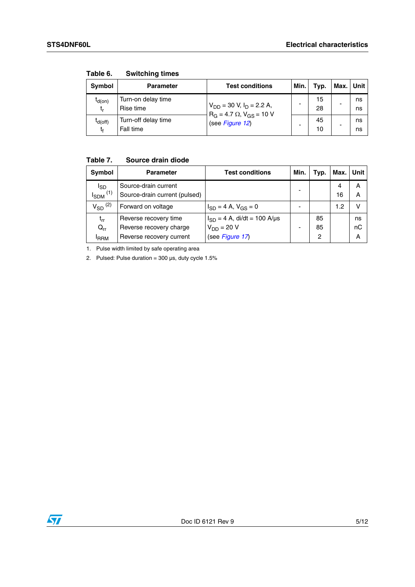| Symbol             | <b>Parameter</b>                 | <b>Test conditions</b>                                                  | Min. | Typ.     | Max. Unit |          |
|--------------------|----------------------------------|-------------------------------------------------------------------------|------|----------|-----------|----------|
| $I_{d(on)}$<br>t,  | Turn-on delay time<br>Rise time  | $V_{DD}$ = 30 V, $I_D$ = 2.2 A,<br>$R_G = 4.7 \Omega$ , $V_{GS} = 10 V$ |      | 15<br>28 | -         | ns<br>ns |
| $I_{d(off)}$<br>t, | Turn-off delay time<br>Fall time | (see Figure 12)                                                         |      | 45<br>10 |           | ns<br>ns |

**Table 6. Switching times**

### **Table 7. Source drain diode**

| Symbol                                    | <b>Parameter</b>                                                             | <b>Test conditions</b>                                                 | Min. | Typ.          | Max.    | Unit          |
|-------------------------------------------|------------------------------------------------------------------------------|------------------------------------------------------------------------|------|---------------|---------|---------------|
| <sub>sD</sub><br>$I_{SDM}$ <sup>(1)</sup> | Source-drain current<br>Source-drain current (pulsed)                        |                                                                        |      |               | 4<br>16 | А<br>А        |
| $V_{SD}$ <sup>(2)</sup>                   | Forward on voltage                                                           | $I_{SD} = 4$ A, $V_{GS} = 0$                                           |      |               | 1.2     | v             |
| $t_{rr}$<br>$Q_{rr}$<br><b>IRRM</b>       | Reverse recovery time<br>Reverse recovery charge<br>Reverse recovery current | $I_{SD} = 4$ A, di/dt = 100 A/µs<br>$V_{DD}$ = 20 V<br>(see Figure 17) |      | 85<br>85<br>2 |         | ns<br>пC<br>А |

1. Pulse width limited by safe operating area

2. Pulsed: Pulse duration =  $300 \mu s$ , duty cycle  $1.5\%$ 

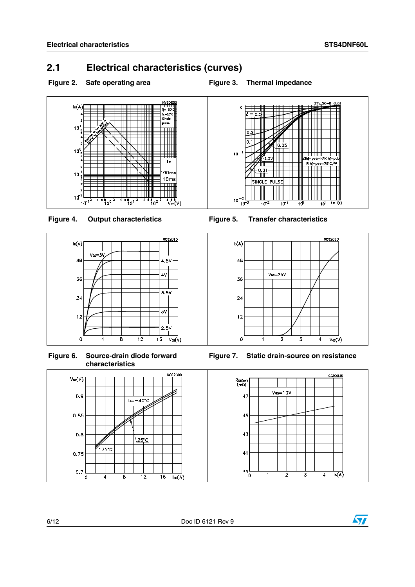## <span id="page-5-0"></span>**2.1 Electrical characteristics (curves)**







**Figure 6. Source-drain diode forward characteristics**



<span id="page-5-1"></span>

<span id="page-5-2"></span>









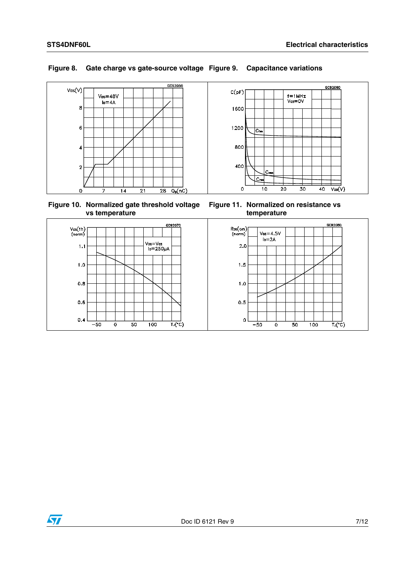

#### **Figure 8. Gate charge vs gate-source voltage Figure 9. Capacitance variations**

**Figure 10. Normalized gate threshold voltage vs temperature**





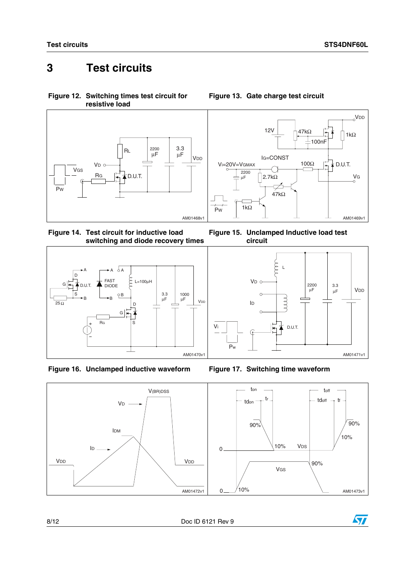## <span id="page-7-0"></span>**3 Test circuits**

<span id="page-7-2"></span>**Figure 12. Switching times test circuit for resistive load**



**Figure 14. Test circuit for inductive load switching and diode recovery times**







<span id="page-7-1"></span>**Figure 13. Gate charge test circuit**





<span id="page-7-3"></span>





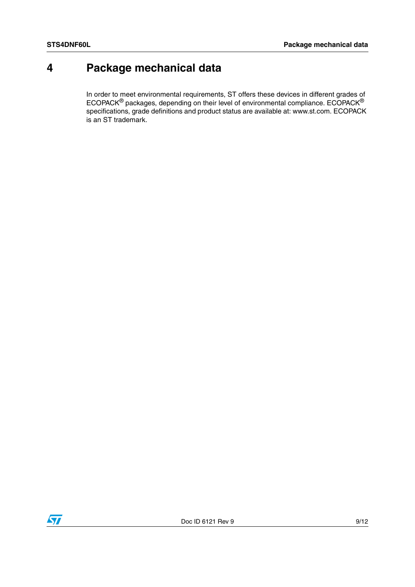## <span id="page-8-0"></span>**4 Package mechanical data**

In order to meet environmental requirements, ST offers these devices in different grades of ECOPACK® packages, depending on their level of environmental compliance. ECOPACK® specifications, grade definitions and product status are available at: www.st.com. ECOPACK is an ST trademark.

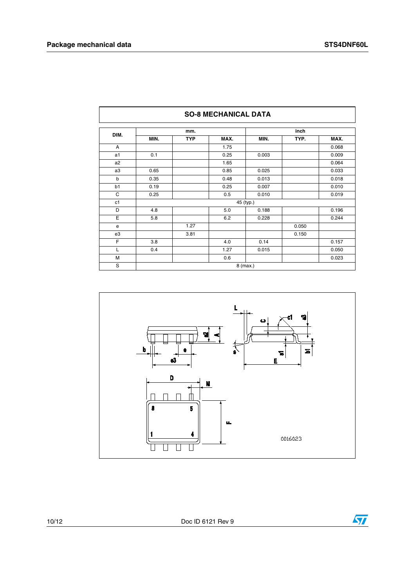| DIM.           |      | mm.        |      |           | inch  |       |
|----------------|------|------------|------|-----------|-------|-------|
|                | MIN. | <b>TYP</b> | MAX. | MIN.      | TYP.  | MAX.  |
| A              |      |            | 1.75 |           |       | 0.068 |
| a1             | 0.1  |            | 0.25 | 0.003     |       | 0.009 |
| a <sub>2</sub> |      |            | 1.65 |           |       | 0.064 |
| a3             | 0.65 |            | 0.85 | 0.025     |       | 0.033 |
| b              | 0.35 |            | 0.48 | 0.013     |       | 0.018 |
| b1             | 0.19 |            | 0.25 | 0.007     |       | 0.010 |
| C              | 0.25 |            | 0.5  | 0.010     |       | 0.019 |
| c1             |      |            |      | 45 (typ.) |       |       |
| D              | 4.8  |            | 5.0  | 0.188     |       | 0.196 |
| E              | 5.8  |            | 6.2  | 0.228     |       | 0.244 |
| e              |      | 1.27       |      |           | 0.050 |       |
| e3             |      | 3.81       |      |           | 0.150 |       |
| F              | 3.8  |            | 4.0  | 0.14      |       | 0.157 |
| L              | 0.4  |            | 1.27 | 0.015     |       | 0.050 |
| M              |      |            | 0.6  |           |       | 0.023 |

#### **SO-8 MECHANICAL DATA**



10/12 Doc ID 6121 Rev 9

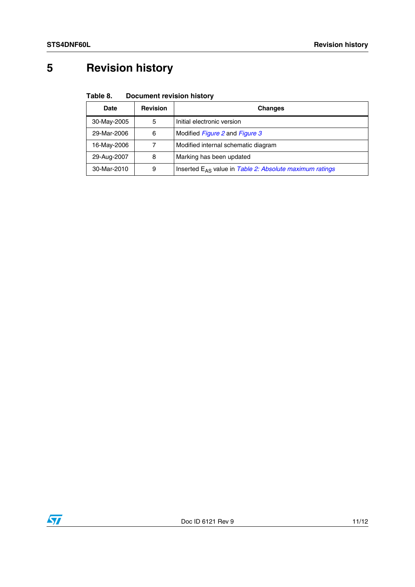# <span id="page-10-0"></span>**5 Revision history**

#### Table 8. **Document revision history**

| Date        | <b>Revision</b> | <b>Changes</b>                                               |
|-------------|-----------------|--------------------------------------------------------------|
| 30-May-2005 | 5               | Initial electronic version                                   |
| 29-Mar-2006 | 6               | Modified Figure 2 and Figure 3                               |
| 16-May-2006 |                 | Modified internal schematic diagram                          |
| 29-Aug-2007 | 8               | Marking has been updated                                     |
| 30-Mar-2010 | 9               | Inserted $E_{AS}$ value in Table 2: Absolute maximum ratings |